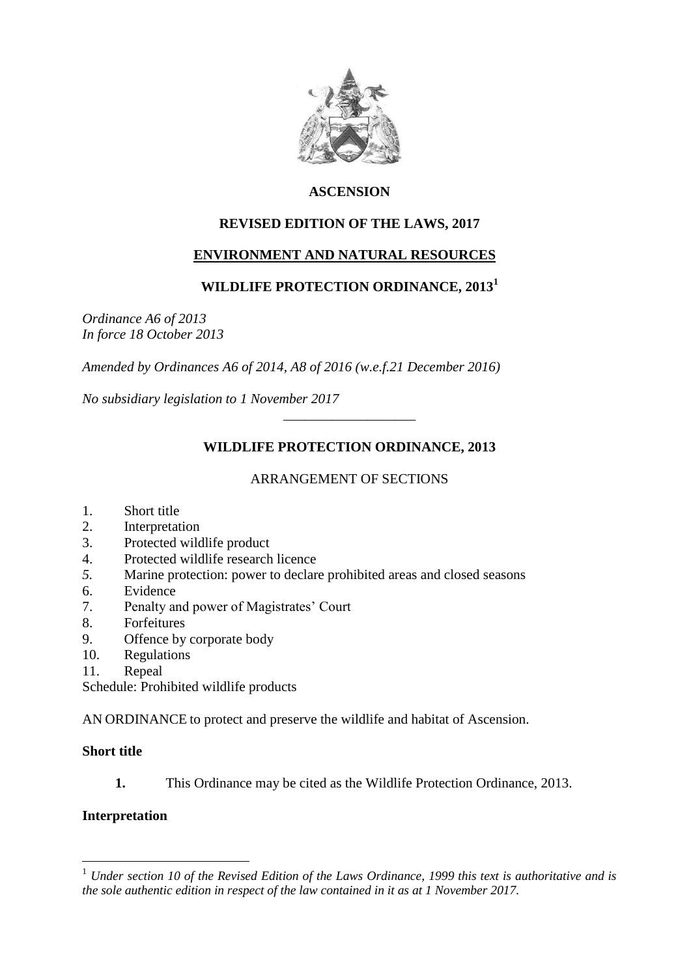

## **ASCENSION**

# **REVISED EDITION OF THE LAWS, 2017**

# **ENVIRONMENT AND NATURAL RESOURCES**

### **WILDLIFE PROTECTION ORDINANCE, 2013<sup>1</sup>**

*Ordinance A6 of 2013 In force 18 October 2013*

*Amended by Ordinances A6 of 2014, A8 of 2016 (w.e.f.21 December 2016)*

*No subsidiary legislation to 1 November 2017*

# **WILDLIFE PROTECTION ORDINANCE, 2013**

\_\_\_\_\_\_\_\_\_\_\_\_\_\_\_\_\_\_\_

#### ARRANGEMENT OF SECTIONS

- 1. Short title
- 2. Interpretation
- 3. Protected wildlife product
- 4. Protected wildlife research licence
- *5.* Marine protection: power to declare prohibited areas and closed seasons
- 6. Evidence
- 7. Penalty and power of Magistrates' Court
- 8. Forfeitures
- 9. Offence by corporate body
- 10. Regulations
- 11. Repeal

Schedule: Prohibited wildlife products

AN ORDINANCE to protect and preserve the wildlife and habitat of Ascension.

#### **Short title**

**1.** This Ordinance may be cited as the Wildlife Protection Ordinance, 2013.

#### **Interpretation**

 $\overline{a}$ 

<sup>1</sup> *Under section 10 of the Revised Edition of the Laws Ordinance, 1999 this text is authoritative and is the sole authentic edition in respect of the law contained in it as at 1 November 2017.*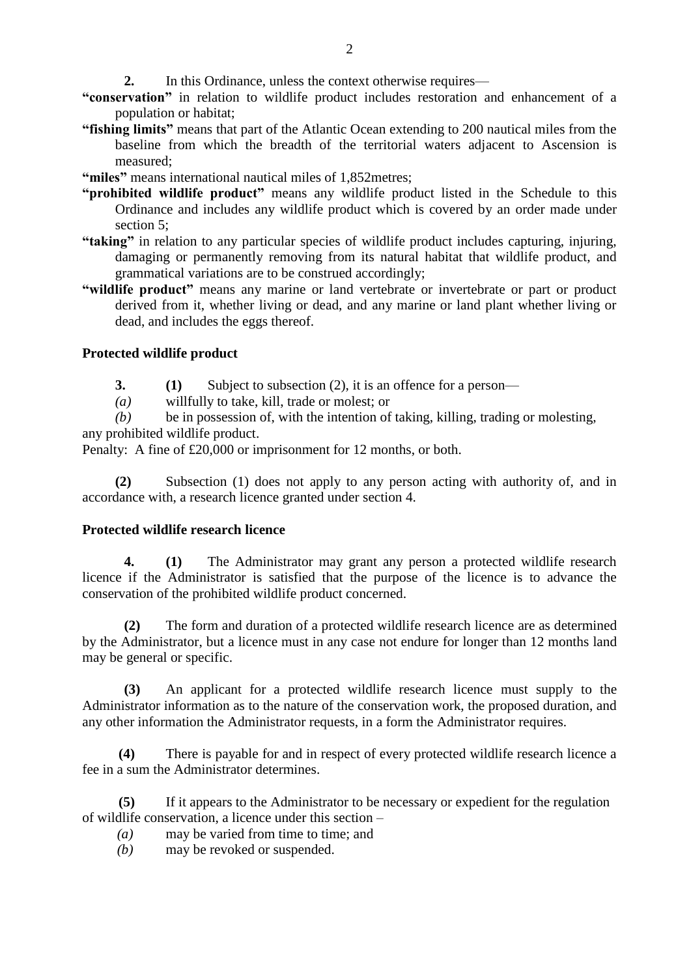- **2.** In this Ordinance, unless the context otherwise requires—
- **"conservation"** in relation to wildlife product includes restoration and enhancement of a population or habitat;
- **"fishing limits"** means that part of the Atlantic Ocean extending to 200 nautical miles from the baseline from which the breadth of the territorial waters adjacent to Ascension is measured;
- **"miles"** means international nautical miles of 1,852metres;
- **"prohibited wildlife product"** means any wildlife product listed in the Schedule to this Ordinance and includes any wildlife product which is covered by an order made under section 5;
- **"taking"** in relation to any particular species of wildlife product includes capturing, injuring, damaging or permanently removing from its natural habitat that wildlife product, and grammatical variations are to be construed accordingly;
- **"wildlife product"** means any marine or land vertebrate or invertebrate or part or product derived from it, whether living or dead, and any marine or land plant whether living or dead, and includes the eggs thereof.

#### **Protected wildlife product**

- **3. (1)** Subject to subsection (2), it is an offence for a person—
- *(a)* willfully to take, kill, trade or molest; or

*(b)* be in possession of, with the intention of taking, killing, trading or molesting, any prohibited wildlife product.

Penalty: A fine of £20,000 or imprisonment for 12 months, or both.

**(2)** Subsection (1) does not apply to any person acting with authority of, and in accordance with, a research licence granted under section 4.

#### **Protected wildlife research licence**

**4. (1)** The Administrator may grant any person a protected wildlife research licence if the Administrator is satisfied that the purpose of the licence is to advance the conservation of the prohibited wildlife product concerned.

**(2)** The form and duration of a protected wildlife research licence are as determined by the Administrator, but a licence must in any case not endure for longer than 12 months land may be general or specific.

**(3)** An applicant for a protected wildlife research licence must supply to the Administrator information as to the nature of the conservation work, the proposed duration, and any other information the Administrator requests, in a form the Administrator requires.

**(4)** There is payable for and in respect of every protected wildlife research licence a fee in a sum the Administrator determines.

**(5)** If it appears to the Administrator to be necessary or expedient for the regulation of wildlife conservation, a licence under this section –

- *(a)* may be varied from time to time; and
- *(b)* may be revoked or suspended.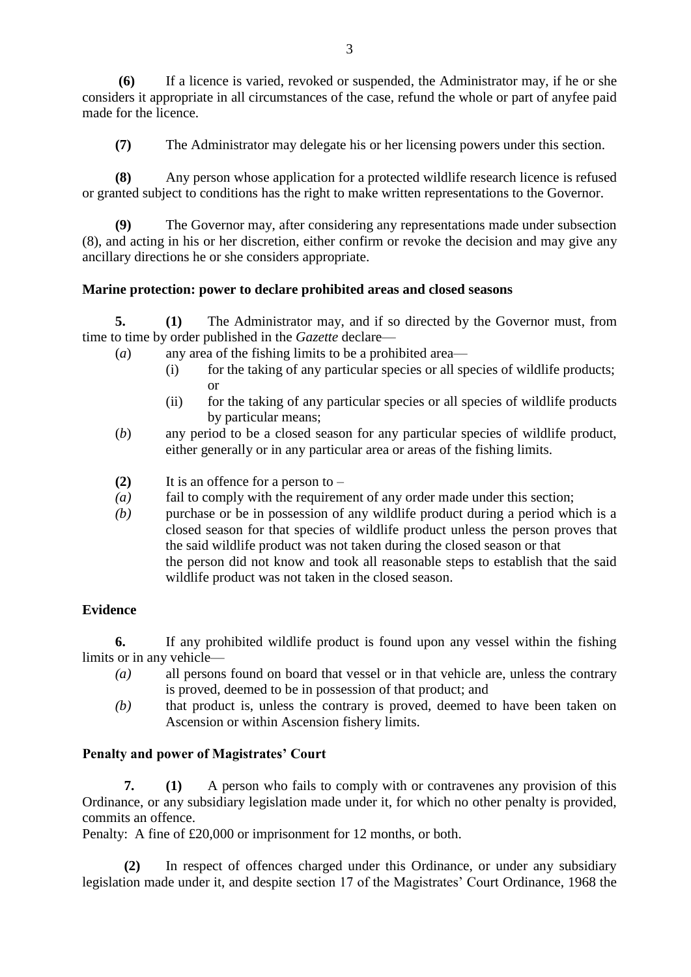**(6)** If a licence is varied, revoked or suspended, the Administrator may, if he or she considers it appropriate in all circumstances of the case, refund the whole or part of anyfee paid made for the licence.

**(7)** The Administrator may delegate his or her licensing powers under this section.

**(8)** Any person whose application for a protected wildlife research licence is refused or granted subject to conditions has the right to make written representations to the Governor.

**(9)** The Governor may, after considering any representations made under subsection (8), and acting in his or her discretion, either confirm or revoke the decision and may give any ancillary directions he or she considers appropriate.

#### **Marine protection: power to declare prohibited areas and closed seasons**

**5. (1)** The Administrator may, and if so directed by the Governor must, from time to time by order published in the *Gazette* declare—

- (*a*)any area of the fishing limits to be a prohibited area—
	- (i) for the taking of any particular species or all species of wildlife products; or
	- (ii) for the taking of any particular species or all species of wildlife products by particular means;
- (*b*) any period to be a closed season for any particular species of wildlife product, either generally or in any particular area or areas of the fishing limits.
- **(2)** It is an offence for a person to –
- *(a)* fail to comply with the requirement of any order made under this section;
- *(b)* purchase or be in possession of any wildlife product during a period which is a closed season for that species of wildlife product unless the person proves that the said wildlife product was not taken during the closed season or that the person did not know and took all reasonable steps to establish that the said wildlife product was not taken in the closed season.

#### **Evidence**

**6.** If any prohibited wildlife product is found upon any vessel within the fishing limits or in any vehicle—

- *(a)* all persons found on board that vessel or in that vehicle are, unless the contrary is proved, deemed to be in possession of that product; and
- *(b)* that product is, unless the contrary is proved, deemed to have been taken on Ascension or within Ascension fishery limits.

#### **Penalty and power of Magistrates' Court**

**7. (1)** A person who fails to comply with or contravenes any provision of this Ordinance, or any subsidiary legislation made under it, for which no other penalty is provided, commits an offence.

Penalty: A fine of £20,000 or imprisonment for 12 months, or both.

**(2)** In respect of offences charged under this Ordinance, or under any subsidiary legislation made under it, and despite section 17 of the Magistrates' Court Ordinance, 1968 the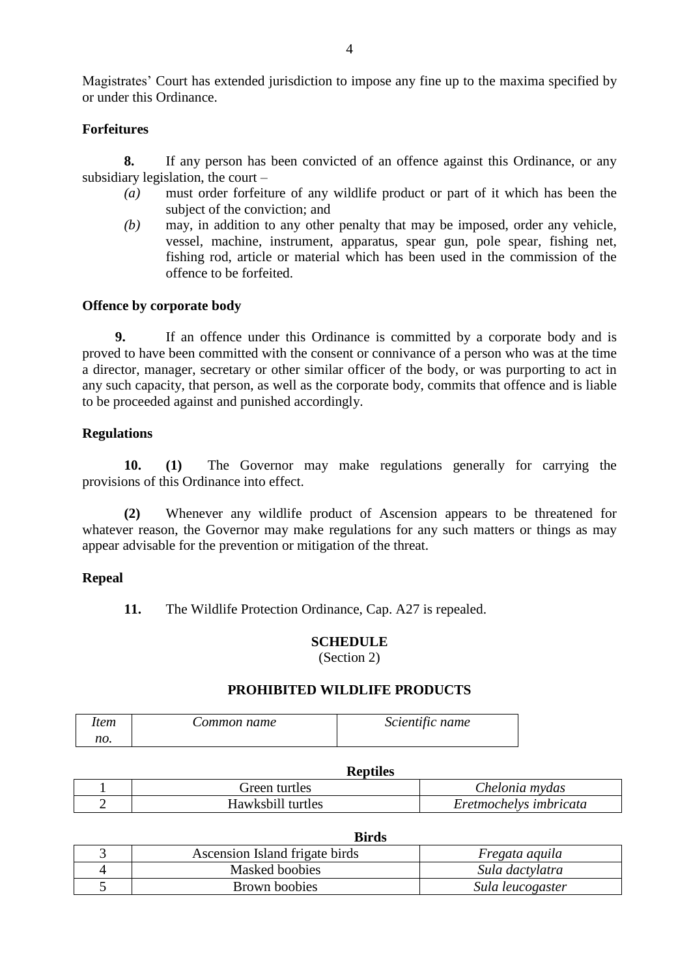Magistrates' Court has extended jurisdiction to impose any fine up to the maxima specified by or under this Ordinance.

#### **Forfeitures**

**8.** If any person has been convicted of an offence against this Ordinance, or any subsidiary legislation, the court –

- *(a)* must order forfeiture of any wildlife product or part of it which has been the subject of the conviction; and
- *(b)* may, in addition to any other penalty that may be imposed, order any vehicle, vessel, machine, instrument, apparatus, spear gun, pole spear, fishing net, fishing rod, article or material which has been used in the commission of the offence to be forfeited.

#### **Offence by corporate body**

**9.** If an offence under this Ordinance is committed by a corporate body and is proved to have been committed with the consent or connivance of a person who was at the time a director, manager, secretary or other similar officer of the body, or was purporting to act in any such capacity, that person, as well as the corporate body, commits that offence and is liable to be proceeded against and punished accordingly.

#### **Regulations**

**10. (1)** The Governor may make regulations generally for carrying the provisions of this Ordinance into effect.

**(2)** Whenever any wildlife product of Ascension appears to be threatened for whatever reason, the Governor may make regulations for any such matters or things as may appear advisable for the prevention or mitigation of the threat.

#### **Repeal**

**11.** The Wildlife Protection Ordinance, Cap. A27 is repealed.

#### **SCHEDULE**

(Section 2)

#### **PROHIBITED WILDLIFE PRODUCTS**

| ltem | Common name | Scientific name |
|------|-------------|-----------------|
| no.  |             |                 |

| ---------         |                        |
|-------------------|------------------------|
| Green turtles     | Chelonia mydas         |
| Hawksbill turtles | Eretmochelys imbricata |

#### **Birds**

| Ascension Island frigate birds | Fregata aquila   |
|--------------------------------|------------------|
| Masked boobies                 | Sula dactylatra  |
| Brown boobies                  | Sula leucogaster |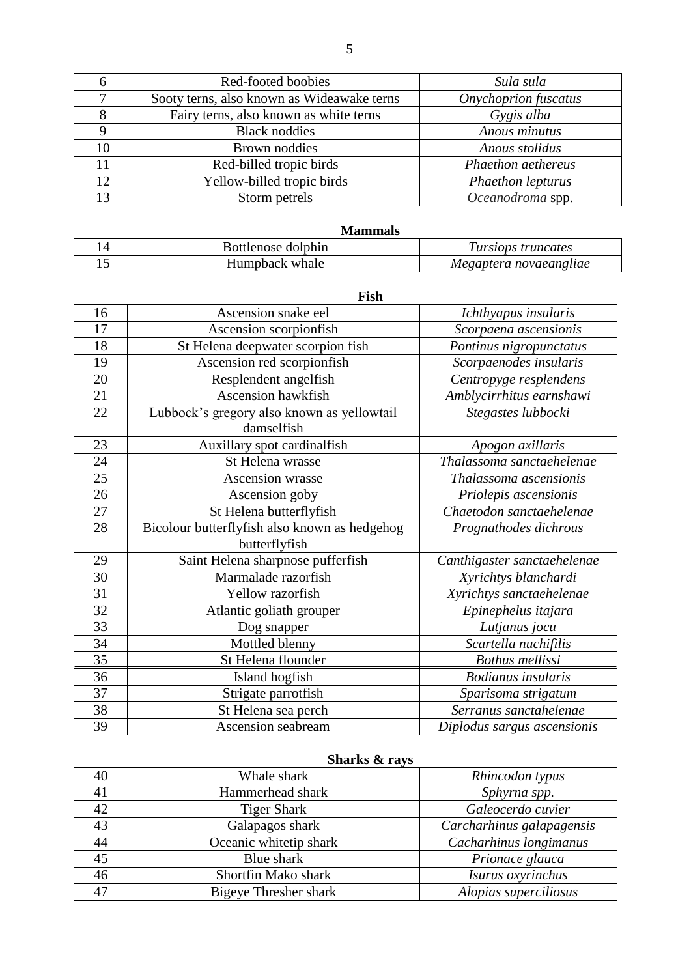|    | Red-footed boobies                         | Sula sula                   |
|----|--------------------------------------------|-----------------------------|
|    | Sooty terns, also known as Wideawake terns | <b>Onychoprion</b> fuscatus |
|    | Fairy terns, also known as white terns     | Gygis alba                  |
|    | <b>Black noddies</b>                       | Anous minutus               |
| 10 | <b>Brown noddies</b>                       | Anous stolidus              |
| 11 | Red-billed tropic birds                    | Phaethon aethereus          |
| 12 | Yellow-billed tropic birds                 | <b>Phaethon lepturus</b>    |
| 13 | Storm petrels                              | Oceanodroma spp.            |

| <b>Mammals</b>     |                        |
|--------------------|------------------------|
| Bottlenose dolphin | Tursiops truncates     |
| Humpback whale     | Megaptera novaeangliae |

# **Fish**

| 16              | Ascension snake eel                           | Ichthyapus insularis        |
|-----------------|-----------------------------------------------|-----------------------------|
| 17              | Ascension scorpionfish                        | Scorpaena ascensionis       |
| 18              | St Helena deepwater scorpion fish             | Pontinus nigropunctatus     |
| 19              | Ascension red scorpionfish                    | Scorpaenodes insularis      |
| 20              | Resplendent angelfish                         | Centropyge resplendens      |
| 21              | <b>Ascension hawkfish</b>                     | Amblycirrhitus earnshawi    |
| 22              | Lubbock's gregory also known as yellowtail    | Stegastes lubbocki          |
|                 | damselfish                                    |                             |
| 23              | Auxillary spot cardinalfish                   | Apogon axillaris            |
| 24              | St Helena wrasse                              | Thalassoma sanctaehelenae   |
| 25              | Ascension wrasse                              | Thalassoma ascensionis      |
| 26              | Ascension goby                                | Priolepis ascensionis       |
| 27              | St Helena butterflyfish                       | Chaetodon sanctaehelenae    |
| 28              | Bicolour butterflyfish also known as hedgehog | Prognathodes dichrous       |
|                 | butterflyfish                                 |                             |
| 29              | Saint Helena sharpnose pufferfish             | Canthigaster sanctaehelenae |
| 30              | Marmalade razorfish                           | Xyrichtys blanchardi        |
| 31              | Yellow razorfish                              | Xyrichtys sanctaehelenae    |
| 32              | Atlantic goliath grouper                      | Epinephelus itajara         |
| 33              | Dog snapper                                   | Lutjanus jocu               |
| 34              | Mottled blenny                                | Scartella nuchifilis        |
| $\overline{35}$ | St Helena flounder                            | <b>Bothus mellissi</b>      |
| 36              | Island hogfish                                | <b>Bodianus</b> insularis   |
| 37              | Strigate parrotfish                           | Sparisoma strigatum         |
| 38              | St Helena sea perch                           | Serranus sanctahelenae      |
| 39              | Ascension seabream                            | Diplodus sargus ascensionis |

# **Sharks & rays**

| 40 | Whale shark            | Rhincodon typus           |
|----|------------------------|---------------------------|
| 41 | Hammerhead shark       | Sphyrna spp.              |
| 42 | <b>Tiger Shark</b>     | Galeocerdo cuvier         |
| 43 | Galapagos shark        | Carcharhinus galapagensis |
| 44 | Oceanic whitetip shark | Cacharhinus longimanus    |
| 45 | Blue shark             | Prionace glauca           |
| 46 | Shortfin Mako shark    | Isurus oxyrinchus         |
| 47 | Bigeye Thresher shark  | Alopias superciliosus     |